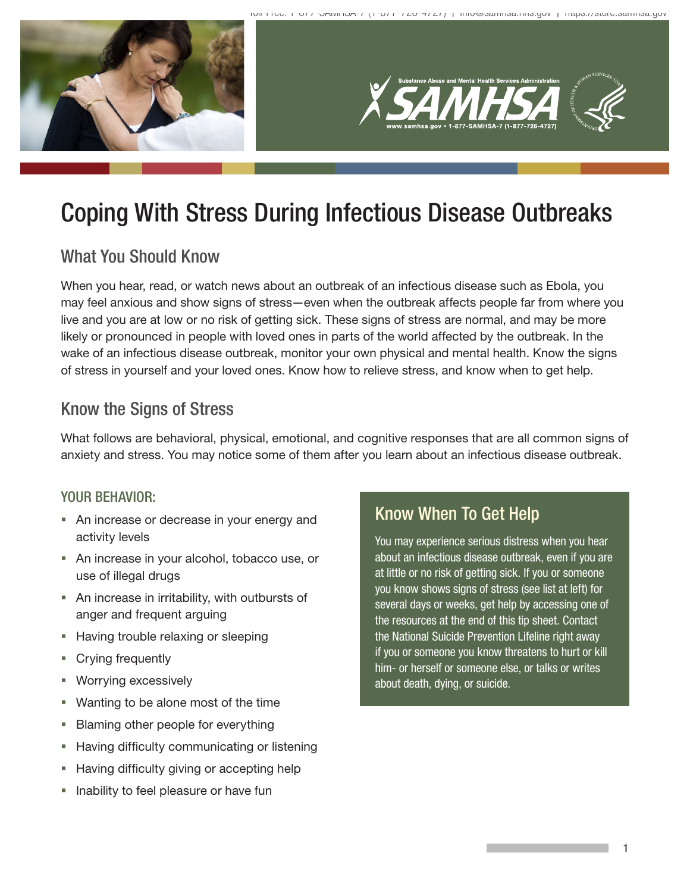

# Coping With Stress During Infectious Disease Outbreaks

## What You Should Know

When you hear, read, or watch news about an outbreak of an infectious disease such as Ebola, you may feel anxious and show signs of stress—even when the outbreak affects people far from where you live and you are at low or no risk of getting sick. These signs of stress are normal, and may be more likely or pronounced in people with loved ones in parts of the world affected by the outbreak. In the wake of an infectious disease outbreak, monitor your own physical and mental health. Know the signs of stress in yourself and your loved ones. Know how to relieve stress, and know when to get help.

## Know the Signs of Stress

What follows are behavioral, physical, emotional, and cognitive responses that are all common signs of anxiety and stress. You may notice some of them after you learn about an infectious disease outbreak.

#### YOUR BEHAVIOR:

- An increase or decrease in your energy and activity levels
- An increase in your alcohol, tobacco use, or use of illegal drugs
- An increase in irritability, with outbursts of anger and frequent arguing
- **Having trouble relaxing or sleeping**
- **Crying frequently**
- Worrying excessively
- Wanting to be alone most of the time
- **Blaming other people for everything**
- **Having difficulty communicating or listening**
- Having difficulty giving or accepting help
- Inability to feel pleasure or have fun

### Know When To Get Help

You may experience serious distress when you hear about an infectious disease outbreak, even if you are at little or no risk of getting sick. If you or someone you know shows signs of stress (see list at left) for several days or weeks, get help by accessing one of the resources at the end of this tip sheet. Contact the National Suicide Prevention Lifeline right away if you or someone you know threatens to hurt or kill him- or herself or someone else, or talks or writes about death, dying, or suicide.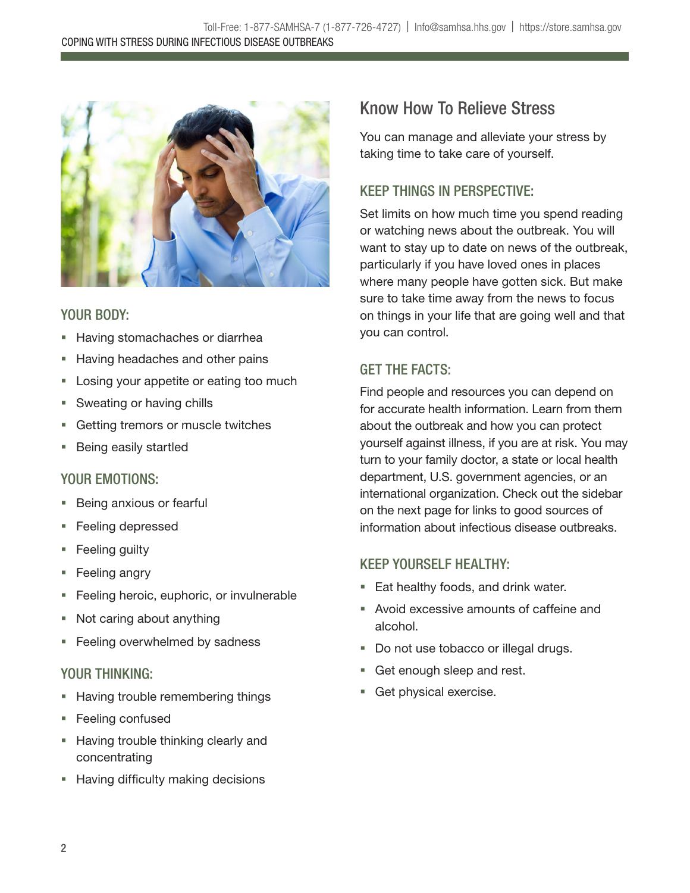

### YOUR BODY:

- **Having stomachaches or diarrhea**
- **Having headaches and other pains**
- **Losing your appetite or eating too much**
- **Sweating or having chills**
- **Getting tremors or muscle twitches**
- **Being easily startled**

#### YOUR EMOTIONS:

- Being anxious or fearful
- Feeling depressed
- **Feeling guilty**
- **Feeling angry**
- **Feeling heroic, euphoric, or invulnerable**
- Not caring about anything
- **Feeling overwhelmed by sadness**

### YOUR THINKING:

- **Having trouble remembering things**
- Feeling confused
- **Having trouble thinking clearly and** concentrating
- **Having difficulty making decisions**

## Know How To Relieve Stress

You can manage and alleviate your stress by taking time to take care of yourself.

### KEEP THINGS IN PERSPECTIVE:

Set limits on how much time you spend reading or watching news about the outbreak. You will want to stay up to date on news of the outbreak, particularly if you have loved ones in places where many people have gotten sick. But make sure to take time away from the news to focus on things in your life that are going well and that you can control.

### **GET THE FACTS:**

Find people and resources you can depend on for accurate health information. Learn from them about the outbreak and how you can protect yourself against illness, if you are at risk. You may turn to your family doctor, a state or local health department, U.S. government agencies, or an international organization. Check out the sidebar on the next page for links to good sources of information about infectious disease outbreaks.

### KEEP YOURSELF HEALTHY:

- **Eat healthy foods, and drink water.**
- Avoid excessive amounts of caffeine and alcohol.
- Do not use tobacco or illegal drugs.
- Get enough sleep and rest.
- Get physical exercise.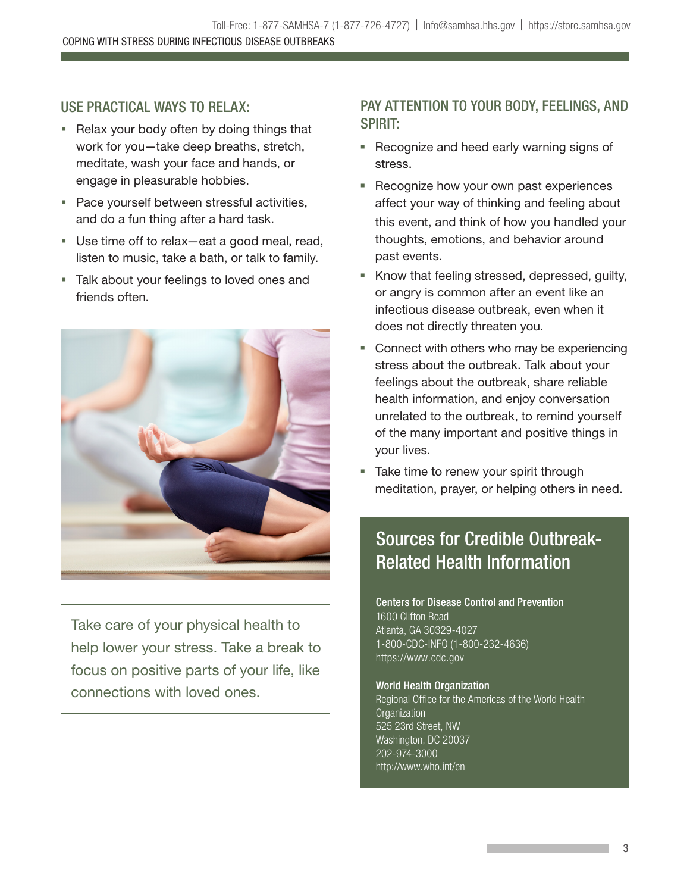### USE PRACTICAL WAYS TO RELAX:

- Relax your body often by doing things that work for you—take deep breaths, stretch, meditate, wash your face and hands, or engage in pleasurable hobbies.
- **Pace yourself between stressful activities,** and do a fun thing after a hard task.
- Use time off to relax—eat a good meal, read, listen to music, take a bath, or talk to family.
- **Talk about your feelings to loved ones and** friends often.



Take care of your physical health to help lower your stress. Take a break to focus on positive parts of your life, like connections with loved ones.

### PAY ATTENTION TO YOUR BODY, FEELINGS, AND SPIRIT:

- **Recognize and heed early warning signs of** stress.
- **Recognize how your own past experiences** affect your way of thinking and feeling about this event, and think of how you handled your thoughts, emotions, and behavior around past events.
- **K** Know that feeling stressed, depressed, guilty, or angry is common after an event like an infectious disease outbreak, even when it does not directly threaten you.
- **Connect with others who may be experiencing** stress about the outbreak. Talk about your feelings about the outbreak, share reliable health information, and enjoy conversation unrelated to the outbreak, to remind yourself of the many important and positive things in your lives.
- Take time to renew your spirit through meditation, prayer, or helping others in need.

## Sources for Credible Outbreak-**Related Health Information**

#### Centers for Disease Control and Prevention 1600 Clifton Road Atlanta, GA 30329-4027 1-800-CDC-INFO (1-800-232-4636) https://www.cdc.gov

**World Health Organization** Regional Office for the Americas of the World Health **Organization** 525 23rd Street, NW Washington, DC 20037 202-974-3000 http://www.who.int/en